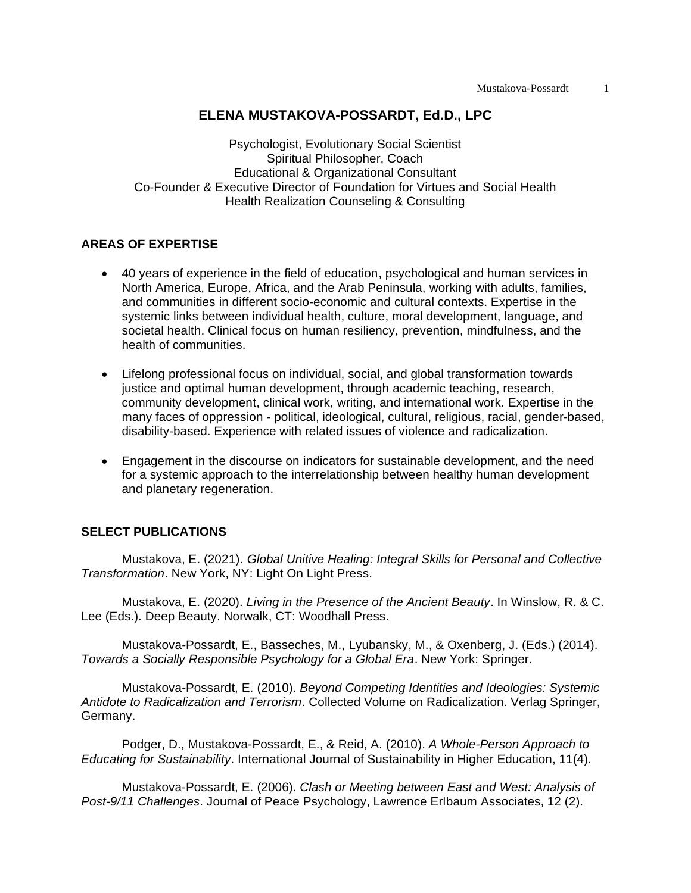#### **ELENA MUSTAKOVA-POSSARDT, Ed.D., LPC**

Psychologist, Evolutionary Social Scientist Spiritual Philosopher, Coach Educational & Organizational Consultant Co-Founder & Executive Director of Foundation for Virtues and Social Health Health Realization Counseling & Consulting

# **AREAS OF EXPERTISE**

- 40 years of experience in the field of education, psychological and human services in North America, Europe, Africa, and the Arab Peninsula, working with adults, families, and communities in different socio-economic and cultural contexts. Expertise in the systemic links between individual health, culture, moral development, language, and societal health. Clinical focus on human resiliency*,* prevention, mindfulness, and the health of communities.
- Lifelong professional focus on individual, social, and global transformation towards justice and optimal human development, through academic teaching, research, community development, clinical work, writing, and international work. Expertise in the many faces of oppression - political, ideological, cultural, religious, racial, gender-based, disability-based. Experience with related issues of violence and radicalization.
- Engagement in the discourse on indicators for sustainable development, and the need for a systemic approach to the interrelationship between healthy human development and planetary regeneration.

#### **SELECT PUBLICATIONS**

Mustakova, E. (2021). *Global Unitive Healing: Integral Skills for Personal and Collective Transformation*. New York, NY: Light On Light Press.

Mustakova, E. (2020). *Living in the Presence of the Ancient Beauty*. In Winslow, R. & C. Lee (Eds.). Deep Beauty. Norwalk, CT: Woodhall Press.

Mustakova-Possardt, E., Basseches, M., Lyubansky, M., & Oxenberg, J. (Eds.) (2014). *Towards a Socially Responsible Psychology for a Global Era*. New York: Springer.

Mustakova-Possardt, E. (2010). *Beyond Competing Identities and Ideologies: Systemic Antidote to Radicalization and Terrorism*. Collected Volume on Radicalization. Verlag Springer, Germany.

Podger, D., Mustakova-Possardt, E., & Reid, A. (2010). *A Whole-Person Approach to Educating for Sustainability*. International Journal of Sustainability in Higher Education, 11(4).

Mustakova-Possardt, E. (2006). *Clash or Meeting between East and West: Analysis of Post-9/11 Challenges*. Journal of Peace Psychology, Lawrence Erlbaum Associates, 12 (2).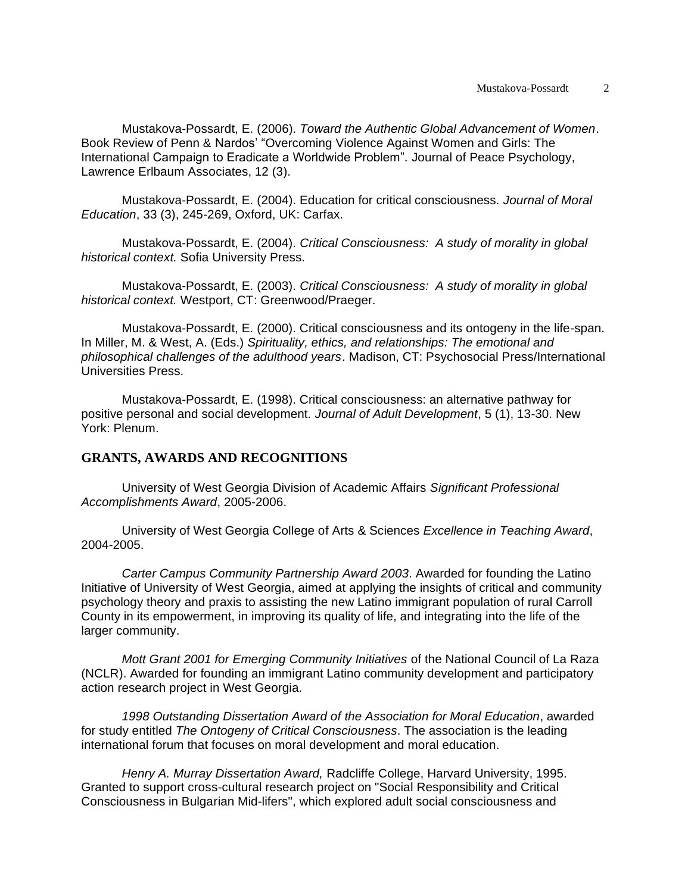Mustakova-Possardt, E. (2006). *Toward the Authentic Global Advancement of Women*. Book Review of Penn & Nardos' "Overcoming Violence Against Women and Girls: The International Campaign to Eradicate a Worldwide Problem". Journal of Peace Psychology, Lawrence Erlbaum Associates, 12 (3).

Mustakova-Possardt, E. (2004). Education for critical consciousness. *Journal of Moral Education*, 33 (3), 245-269, Oxford, UK: Carfax.

Mustakova-Possardt, E. (2004). *Critical Consciousness: A study of morality in global historical context.* Sofia University Press.

Mustakova-Possardt, E. (2003). *Critical Consciousness: A study of morality in global historical context.* Westport, CT: Greenwood/Praeger.

Mustakova-Possardt, E. (2000). Critical consciousness and its ontogeny in the life-span. In Miller, M. & West, A. (Eds.) *Spirituality, ethics, and relationships: The emotional and philosophical challenges of the adulthood years*. Madison, CT: Psychosocial Press/International Universities Press.

Mustakova-Possardt, E. (1998). Critical consciousness: an alternative pathway for positive personal and social development. *Journal of Adult Development*, 5 (1), 13-30. New York: Plenum.

# **GRANTS, AWARDS AND RECOGNITIONS**

University of West Georgia Division of Academic Affairs *Significant Professional Accomplishments Award*, 2005-2006.

University of West Georgia College of Arts & Sciences *Excellence in Teaching Award*, 2004-2005.

*Carter Campus Community Partnership Award 2003*. Awarded for founding the Latino Initiative of University of West Georgia, aimed at applying the insights of critical and community psychology theory and praxis to assisting the new Latino immigrant population of rural Carroll County in its empowerment, in improving its quality of life, and integrating into the life of the larger community.

*Mott Grant 2001 for Emerging Community Initiatives* of the National Council of La Raza (NCLR). Awarded for founding an immigrant Latino community development and participatory action research project in West Georgia.

*1998 Outstanding Dissertation Award of the Association for Moral Education*, awarded for study entitled *The Ontogeny of Critical Consciousness*. The association is the leading international forum that focuses on moral development and moral education.

*Henry A. Murray Dissertation Award,* Radcliffe College, Harvard University, 1995. Granted to support cross-cultural research project on "Social Responsibility and Critical Consciousness in Bulgarian Mid-lifers", which explored adult social consciousness and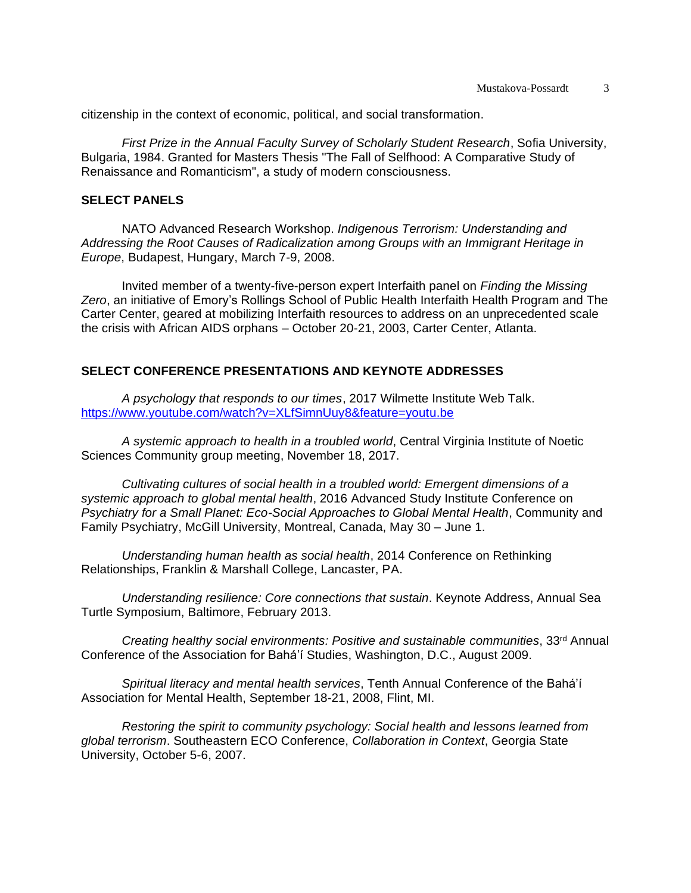citizenship in the context of economic, political, and social transformation.

*First Prize in the Annual Faculty Survey of Scholarly Student Research*, Sofia University, Bulgaria, 1984. Granted for Masters Thesis "The Fall of Selfhood: A Comparative Study of Renaissance and Romanticism", a study of modern consciousness.

#### **SELECT PANELS**

NATO Advanced Research Workshop. *Indigenous Terrorism: Understanding and Addressing the Root Causes of Radicalization among Groups with an Immigrant Heritage in Europe*, Budapest, Hungary, March 7-9, 2008.

Invited member of a twenty-five-person expert Interfaith panel on *Finding the Missing Zero*, an initiative of Emory's Rollings School of Public Health Interfaith Health Program and The Carter Center, geared at mobilizing Interfaith resources to address on an unprecedented scale the crisis with African AIDS orphans – October 20-21, 2003, Carter Center, Atlanta.

# **SELECT CONFERENCE PRESENTATIONS AND KEYNOTE ADDRESSES**

*A psychology that responds to our times*, 2017 Wilmette Institute Web Talk. <https://www.youtube.com/watch?v=XLfSimnUuy8&feature=youtu.be>

*A systemic approach to health in a troubled world*, Central Virginia Institute of Noetic Sciences Community group meeting, November 18, 2017.

*Cultivating cultures of social health in a troubled world: Emergent dimensions of a systemic approach to global mental health*, 2016 Advanced Study Institute Conference on *Psychiatry for a Small Planet: Eco-Social Approaches to Global Mental Health*, Community and Family Psychiatry, McGill University, Montreal, Canada, May 30 – June 1.

*Understanding human health as social health*, 2014 Conference on Rethinking Relationships, Franklin & Marshall College, Lancaster, PA.

*Understanding resilience: Core connections that sustain*. Keynote Address, Annual Sea Turtle Symposium, Baltimore, February 2013.

*Creating healthy social environments: Positive and sustainable communities*, 33rd Annual Conference of the Association for Bahá'í Studies, Washington, D.C., August 2009.

*Spiritual literacy and mental health services*, Tenth Annual Conference of the Bahá'í Association for Mental Health, September 18-21, 2008, Flint, MI.

*Restoring the spirit to community psychology: Social health and lessons learned from global terrorism*. Southeastern ECO Conference, *Collaboration in Context*, Georgia State University, October 5-6, 2007.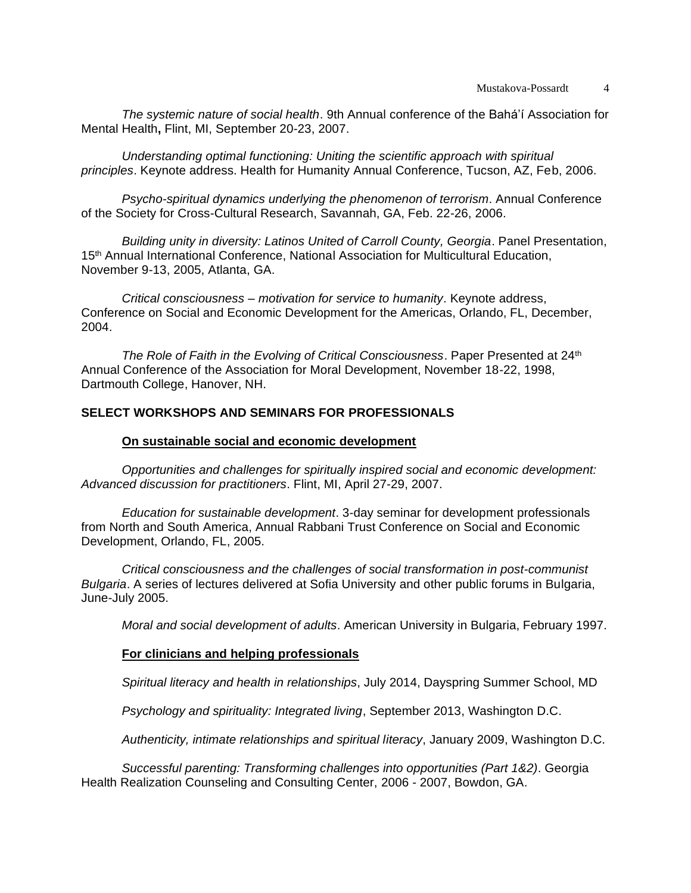*The systemic nature of social health*. 9th Annual conference of the Bahá'í Association for Mental Health**,** Flint, MI, September 20-23, 2007.

*Understanding optimal functioning: Uniting the scientific approach with spiritual principles*. Keynote address. Health for Humanity Annual Conference, Tucson, AZ, Feb, 2006.

*Psycho-spiritual dynamics underlying the phenomenon of terrorism*. Annual Conference of the Society for Cross-Cultural Research, Savannah, GA, Feb. 22-26, 2006.

*Building unity in diversity: Latinos United of Carroll County, Georgia*. Panel Presentation, 15<sup>th</sup> Annual International Conference, National Association for Multicultural Education, November 9-13, 2005, Atlanta, GA.

*Critical consciousness – motivation for service to humanity*. Keynote address, Conference on Social and Economic Development for the Americas, Orlando, FL, December, 2004.

*The Role of Faith in the Evolving of Critical Consciousness. Paper Presented at 24<sup>th</sup>* Annual Conference of the Association for Moral Development, November 18-22, 1998, Dartmouth College, Hanover, NH.

# **SELECT WORKSHOPS AND SEMINARS FOR PROFESSIONALS**

#### **On sustainable social and economic development**

*Opportunities and challenges for spiritually inspired social and economic development: Advanced discussion for practitioners*. Flint, MI, April 27-29, 2007.

*Education for sustainable development*. 3-day seminar for development professionals from North and South America, Annual Rabbani Trust Conference on Social and Economic Development, Orlando, FL, 2005.

*Critical consciousness and the challenges of social transformation in post-communist Bulgaria*. A series of lectures delivered at Sofia University and other public forums in Bulgaria, June-July 2005.

*Moral and social development of adults*. American University in Bulgaria, February 1997.

# **For clinicians and helping professionals**

*Spiritual literacy and health in relationships*, July 2014, Dayspring Summer School, MD

*Psychology and spirituality: Integrated living*, September 2013, Washington D.C.

*Authenticity, intimate relationships and spiritual literacy*, January 2009, Washington D.C.

*Successful parenting: Transforming challenges into opportunities (Part 1&2)*. Georgia Health Realization Counseling and Consulting Center, 2006 - 2007, Bowdon, GA.